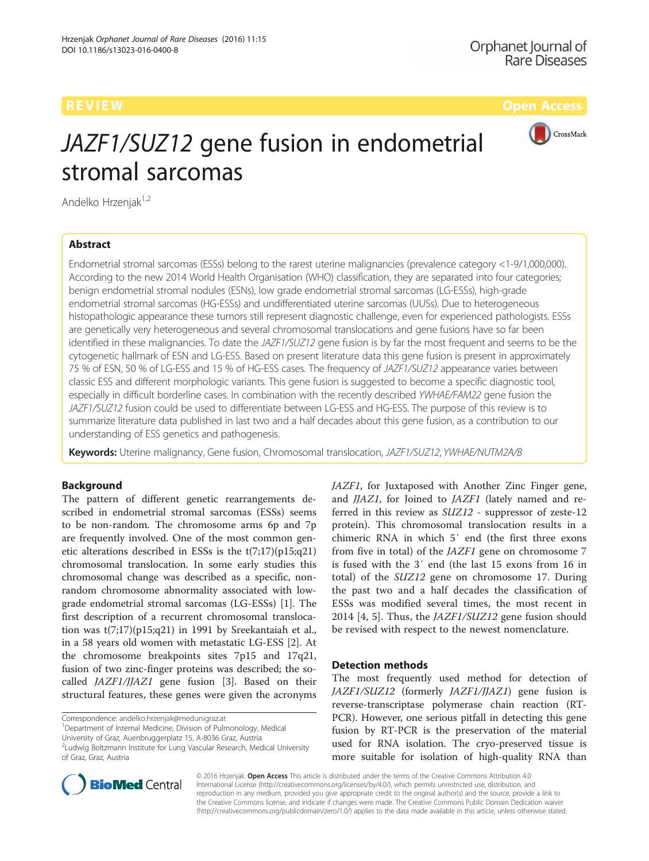

# JAZF1/SUZ12 gene fusion in endometrial stromal sarcomas

Andelko Hrzenjak<sup>1,2</sup>

# Abstract

Endometrial stromal sarcomas (ESSs) belong to the rarest uterine malignancies (prevalence category <1-9/1,000,000). According to the new 2014 World Health Organisation (WHO) classification, they are separated into four categories; benign endometrial stromal nodules (ESNs), low grade endometrial stromal sarcomas (LG-ESSs), high-grade endometrial stromal sarcomas (HG-ESSs) and undifferentiated uterine sarcomas (UUSs). Due to heterogeneous histopathologic appearance these tumors still represent diagnostic challenge, even for experienced pathologists. ESSs are genetically very heterogeneous and several chromosomal translocations and gene fusions have so far been identified in these malignancies. To date the JAZF1/SUZ12 gene fusion is by far the most frequent and seems to be the cytogenetic hallmark of ESN and LG-ESS. Based on present literature data this gene fusion is present in approximately 75 % of ESN, 50 % of LG-ESS and 15 % of HG-ESS cases. The frequency of JAZF1/SUZ12 appearance varies between classic ESS and different morphologic variants. This gene fusion is suggested to become a specific diagnostic tool, especially in difficult borderline cases. In combination with the recently described YWHAE/FAM22 gene fusion the JAZF1/SUZ12 fusion could be used to differentiate between LG-ESS and HG-ESS. The purpose of this review is to summarize literature data published in last two and a half decades about this gene fusion, as a contribution to our understanding of ESS genetics and pathogenesis.

Keywords: Uterine malignancy, Gene fusion, Chromosomal translocation, JAZF1/SUZ12, YWHAE/NUTM2A/B

### Background

The pattern of different genetic rearrangements described in endometrial stromal sarcomas (ESSs) seems to be non-random. The chromosome arms 6p and 7p are frequently involved. One of the most common genetic alterations described in ESSs is the t(7;17)(p15;q21) chromosomal translocation. In some early studies this chromosomal change was described as a specific, nonrandom chromosome abnormality associated with lowgrade endometrial stromal sarcomas (LG-ESSs) [[1](#page-6-0)]. The first description of a recurrent chromosomal translocation was  $t(7;17)(p15;q21)$  in 1991 by Sreekantaiah et al., in a 58 years old women with metastatic LG-ESS [[2\]](#page-6-0). At the chromosome breakpoints sites 7p15 and 17q21, fusion of two zinc-finger proteins was described; the socalled JAZF1/JJAZ1 gene fusion [\[3\]](#page-6-0). Based on their structural features, these genes were given the acronyms

<sup>1</sup>Department of Internal Medicine, Division of Pulmonology, Medical

JAZF1, for Juxtaposed with Another Zinc Finger gene, and *JJAZ1*, for Joined to *JAZF1* (lately named and referred in this review as SUZ12 - suppressor of zeste-12 protein). This chromosomal translocation results in a chimeric RNA in which 5′ end (the first three exons from five in total) of the JAZF1 gene on chromosome 7 is fused with the 3′ end (the last 15 exons from 16 in total) of the SUZ12 gene on chromosome 17. During the past two and a half decades the classification of ESSs was modified several times, the most recent in 2014 [[4](#page-6-0), [5](#page-6-0)]. Thus, the JAZF1/SUZ12 gene fusion should be revised with respect to the newest nomenclature.

# Detection methods

The most frequently used method for detection of JAZF1/SUZ12 (formerly JAZF1/JJAZ1) gene fusion is reverse-transcriptase polymerase chain reaction (RT-PCR). However, one serious pitfall in detecting this gene fusion by RT-PCR is the preservation of the material used for RNA isolation. The cryo-preserved tissue is more suitable for isolation of high-quality RNA than



© 2016 Hrzenjak. Open Access This article is distributed under the terms of the Creative Commons Attribution 4.0 International License [\(http://creativecommons.org/licenses/by/4.0/](http://creativecommons.org/licenses/by/4.0/)), which permits unrestricted use, distribution, and reproduction in any medium, provided you give appropriate credit to the original author(s) and the source, provide a link to the Creative Commons license, and indicate if changes were made. The Creative Commons Public Domain Dedication waiver [\(http://creativecommons.org/publicdomain/zero/1.0/](http://creativecommons.org/publicdomain/zero/1.0/)) applies to the data made available in this article, unless otherwise stated.

Correspondence: [andelko.hrzenjak@medunigraz.at](mailto:andelko.hrzenjak@medunigraz.at) <sup>1</sup>

University of Graz, Auenbruggerplatz 15, A-8036 Graz, Austria

<sup>&</sup>lt;sup>2</sup> Ludwig Boltzmann Institute for Lung Vascular Research, Medical University of Graz, Graz, Austria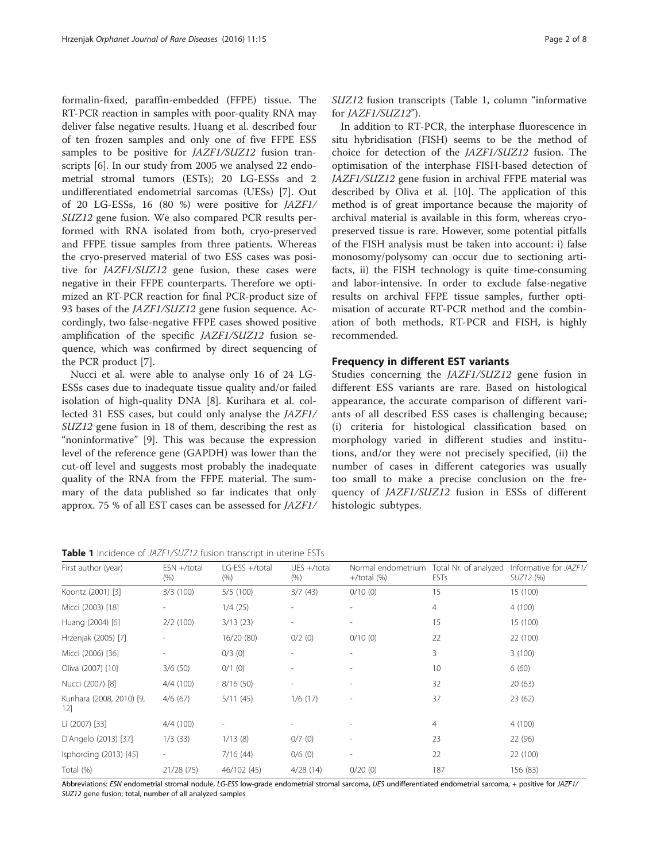<span id="page-1-0"></span>formalin-fixed, paraffin-embedded (FFPE) tissue. The RT-PCR reaction in samples with poor-quality RNA may deliver false negative results. Huang et al. described four of ten frozen samples and only one of five FFPE ESS samples to be positive for *JAZF1/SUZ12* fusion transcripts [[6\]](#page-6-0). In our study from 2005 we analysed 22 endometrial stromal tumors (ESTs); 20 LG-ESSs and 2 undifferentiated endometrial sarcomas (UESs) [\[7](#page-6-0)]. Out of 20 LG-ESSs, 16 (80 %) were positive for JAZF1/ SUZ12 gene fusion. We also compared PCR results performed with RNA isolated from both, cryo-preserved and FFPE tissue samples from three patients. Whereas the cryo-preserved material of two ESS cases was positive for JAZF1/SUZ12 gene fusion, these cases were negative in their FFPE counterparts. Therefore we optimized an RT-PCR reaction for final PCR-product size of 93 bases of the JAZF1/SUZ12 gene fusion sequence. Accordingly, two false-negative FFPE cases showed positive amplification of the specific JAZF1/SUZ12 fusion sequence, which was confirmed by direct sequencing of the PCR product [[7\]](#page-6-0).

Nucci et al. were able to analyse only 16 of 24 LG-ESSs cases due to inadequate tissue quality and/or failed isolation of high-quality DNA [[8\]](#page-6-0). Kurihara et al. collected 31 ESS cases, but could only analyse the JAZF1/ SUZ12 gene fusion in 18 of them, describing the rest as "noninformative" [[9\]](#page-6-0). This was because the expression level of the reference gene (GAPDH) was lower than the cut-off level and suggests most probably the inadequate quality of the RNA from the FFPE material. The summary of the data published so far indicates that only approx. 75 % of all EST cases can be assessed for JAZF1/ SUZ12 fusion transcripts (Table 1, column "informative for JAZF1/SUZ12").

In addition to RT-PCR, the interphase fluorescence in situ hybridisation (FISH) seems to be the method of choice for detection of the JAZF1/SUZ12 fusion. The optimisation of the interphase FISH-based detection of JAZF1/SUZ12 gene fusion in archival FFPE material was described by Oliva et al. [\[10](#page-6-0)]. The application of this method is of great importance because the majority of archival material is available in this form, whereas cryopreserved tissue is rare. However, some potential pitfalls of the FISH analysis must be taken into account: i) false monosomy/polysomy can occur due to sectioning artifacts, ii) the FISH technology is quite time-consuming and labor-intensive. In order to exclude false-negative results on archival FFPE tissue samples, further optimisation of accurate RT-PCR method and the combination of both methods, RT-PCR and FISH, is highly recommended.

### Frequency in different EST variants

Studies concerning the JAZF1/SUZ12 gene fusion in different ESS variants are rare. Based on histological appearance, the accurate comparison of different variants of all described ESS cases is challenging because; (i) criteria for histological classification based on morphology varied in different studies and institutions, and/or they were not precisely specified, (ii) the number of cases in different categories was usually too small to make a precise conclusion on the frequency of JAZF1/SUZ12 fusion in ESSs of different histologic subtypes.

Table 1 Incidence of JAZF1/SUZ12 fusion transcript in uterine ESTs

| First author (year)              | $ESN + / total$<br>$(\% )$ | LG-ESS +/total<br>$(\% )$ | $UES + / total$<br>(% ) | Normal endometrium Total Nr. of analyzed<br>$+$ /total $(\%)$ | <b>ESTs</b>    | Informative for JAZF1/<br>SUZ12 (%) |  |
|----------------------------------|----------------------------|---------------------------|-------------------------|---------------------------------------------------------------|----------------|-------------------------------------|--|
| Koontz (2001) [3]                | 3/3(100)<br>5/5(100)       |                           | 3/7(43)                 | 0/10(0)                                                       | 15             | 15 (100)                            |  |
| Micci (2003) [18]                |                            | 1/4(25)                   |                         |                                                               | $\overline{4}$ | 4(100)                              |  |
| Huang (2004) [6]                 | 2/2(100)                   | 3/13(23)                  |                         |                                                               | 15             | 15 (100)                            |  |
| Hrzenjak (2005) [7]              |                            | 16/20 (80)                | 0/2(0)                  | 0/10(0)                                                       | 22             | 22 (100)                            |  |
| Micci (2006) [36]                |                            | $0/3$ (0)                 |                         |                                                               | 3              | 3(100)                              |  |
| Oliva (2007) [10]                | 3/6(50)                    | $0/1$ (0)                 |                         |                                                               | 10             | 6(60)                               |  |
| Nucci (2007) [8]                 | 4/4 (100)                  | 8/16(50)                  |                         |                                                               | 32             | 20(63)                              |  |
| Kurihara (2008, 2010) [9,<br>12] | 4/6(67)                    | 5/11(45)                  | 1/6(17)                 |                                                               | 37             | 23(62)                              |  |
| Li (2007) [33]                   | 4/4(100)                   |                           |                         |                                                               | 4              | 4(100)                              |  |
| D'Angelo (2013) [37]             | 1/3(33)                    | 1/13(8)                   | 0/7(0)                  |                                                               | 23             | 22 (96)                             |  |
| Isphording (2013) [45]           |                            | 7/16(44)                  | 0/6(0)                  |                                                               | 22             | 22 (100)                            |  |
| Total (%)                        | 21/28 (75)                 | 46/102 (45)               | 4/28(14)                | 0/20(0)                                                       | 187            | 156 (83)                            |  |

Abbreviations: ESN endometrial stromal nodule, LG-ESS low-grade endometrial stromal sarcoma, UES undifferentiated endometrial sarcoma, + positive for JAZF1/ SUZ12 gene fusion; total, number of all analyzed samples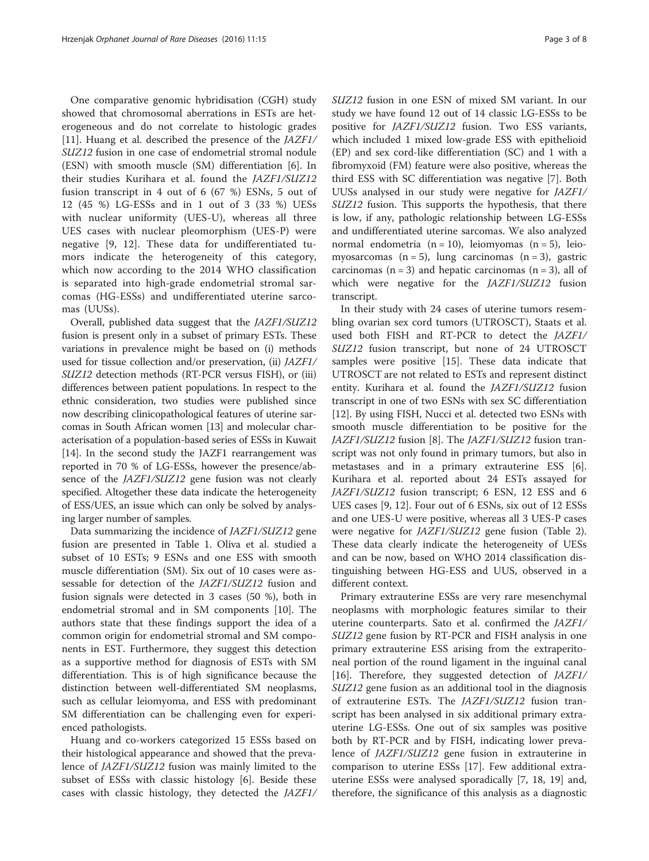One comparative genomic hybridisation (CGH) study showed that chromosomal aberrations in ESTs are heterogeneous and do not correlate to histologic grades [[11\]](#page-6-0). Huang et al. described the presence of the JAZF1/ SUZ12 fusion in one case of endometrial stromal nodule (ESN) with smooth muscle (SM) differentiation [\[6\]](#page-6-0). In their studies Kurihara et al. found the JAZF1/SUZ12 fusion transcript in 4 out of 6 (67 %) ESNs, 5 out of 12 (45 %) LG-ESSs and in 1 out of 3 (33 %) UESs with nuclear uniformity (UES-U), whereas all three UES cases with nuclear pleomorphism (UES-P) were negative [[9](#page-6-0), [12](#page-6-0)]. These data for undifferentiated tumors indicate the heterogeneity of this category, which now according to the 2014 WHO classification is separated into high-grade endometrial stromal sarcomas (HG-ESSs) and undifferentiated uterine sarcomas (UUSs).

Overall, published data suggest that the JAZF1/SUZ12 fusion is present only in a subset of primary ESTs. These variations in prevalence might be based on (i) methods used for tissue collection and/or preservation, (ii) JAZF1/ SUZ12 detection methods (RT-PCR versus FISH), or (iii) differences between patient populations. In respect to the ethnic consideration, two studies were published since now describing clinicopathological features of uterine sarcomas in South African women [\[13\]](#page-6-0) and molecular characterisation of a population-based series of ESSs in Kuwait [[14](#page-6-0)]. In the second study the JAZF1 rearrangement was reported in 70 % of LG-ESSs, however the presence/absence of the JAZF1/SUZ12 gene fusion was not clearly specified. Altogether these data indicate the heterogeneity of ESS/UES, an issue which can only be solved by analysing larger number of samples.

Data summarizing the incidence of JAZF1/SUZ12 gene fusion are presented in Table [1](#page-1-0). Oliva et al. studied a subset of 10 ESTs; 9 ESNs and one ESS with smooth muscle differentiation (SM). Six out of 10 cases were assessable for detection of the JAZF1/SUZ12 fusion and fusion signals were detected in 3 cases (50 %), both in endometrial stromal and in SM components [[10\]](#page-6-0). The authors state that these findings support the idea of a common origin for endometrial stromal and SM components in EST. Furthermore, they suggest this detection as a supportive method for diagnosis of ESTs with SM differentiation. This is of high significance because the distinction between well-differentiated SM neoplasms, such as cellular leiomyoma, and ESS with predominant SM differentiation can be challenging even for experienced pathologists.

Huang and co-workers categorized 15 ESSs based on their histological appearance and showed that the prevalence of JAZF1/SUZ12 fusion was mainly limited to the subset of ESSs with classic histology [\[6](#page-6-0)]. Beside these cases with classic histology, they detected the JAZF1/ SUZ12 fusion in one ESN of mixed SM variant. In our study we have found 12 out of 14 classic LG-ESSs to be positive for JAZF1/SUZ12 fusion. Two ESS variants, which included 1 mixed low-grade ESS with epithelioid (EP) and sex cord-like differentiation (SC) and 1 with a fibromyxoid (FM) feature were also positive, whereas the third ESS with SC differentiation was negative [\[7](#page-6-0)]. Both UUSs analysed in our study were negative for JAZF1/ SUZ12 fusion. This supports the hypothesis, that there is low, if any, pathologic relationship between LG-ESSs and undifferentiated uterine sarcomas. We also analyzed normal endometria  $(n = 10)$ , leiomyomas  $(n = 5)$ , leiomyosarcomas  $(n = 5)$ , lung carcinomas  $(n = 3)$ , gastric carcinomas ( $n = 3$ ) and hepatic carcinomas ( $n = 3$ ), all of which were negative for the *JAZF1/SUZ12* fusion transcript.

In their study with 24 cases of uterine tumors resembling ovarian sex cord tumors (UTROSCT), Staats et al. used both FISH and RT-PCR to detect the JAZF1/ SUZ12 fusion transcript, but none of 24 UTROSCT samples were positive [\[15](#page-6-0)]. These data indicate that UTROSCT are not related to ESTs and represent distinct entity. Kurihara et al. found the JAZF1/SUZ12 fusion transcript in one of two ESNs with sex SC differentiation [[12\]](#page-6-0). By using FISH, Nucci et al. detected two ESNs with smooth muscle differentiation to be positive for the JAZF1/SUZ12 fusion [[8\]](#page-6-0). The JAZF1/SUZ12 fusion transcript was not only found in primary tumors, but also in metastases and in a primary extrauterine ESS [\[6](#page-6-0)]. Kurihara et al. reported about 24 ESTs assayed for JAZF1/SUZ12 fusion transcript; 6 ESN, 12 ESS and 6 UES cases [\[9](#page-6-0), [12](#page-6-0)]. Four out of 6 ESNs, six out of 12 ESSs and one UES-U were positive, whereas all 3 UES-P cases were negative for JAZF1/SUZ12 gene fusion (Table [2](#page-3-0)). These data clearly indicate the heterogeneity of UESs and can be now, based on WHO 2014 classification distinguishing between HG-ESS and UUS, observed in a different context.

Primary extrauterine ESSs are very rare mesenchymal neoplasms with morphologic features similar to their uterine counterparts. Sato et al. confirmed the JAZF1/ SUZ12 gene fusion by RT-PCR and FISH analysis in one primary extrauterine ESS arising from the extraperitoneal portion of the round ligament in the inguinal canal [[16\]](#page-6-0). Therefore, they suggested detection of JAZF1/ SUZ12 gene fusion as an additional tool in the diagnosis of extrauterine ESTs. The JAZF1/SUZ12 fusion transcript has been analysed in six additional primary extrauterine LG-ESSs. One out of six samples was positive both by RT-PCR and by FISH, indicating lower prevalence of JAZF1/SUZ12 gene fusion in extrauterine in comparison to uterine ESSs [[17](#page-6-0)]. Few additional extrauterine ESSs were analysed sporadically [[7, 18, 19](#page-6-0)] and, therefore, the significance of this analysis as a diagnostic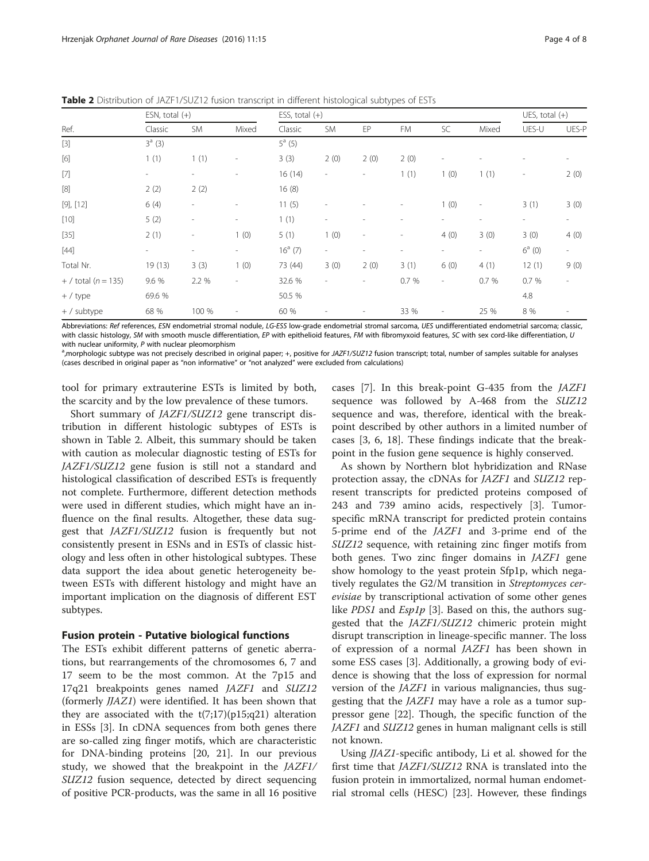<span id="page-3-0"></span>Table 2 Distribution of JAZF1/SUZ12 fusion transcript in different histological subtypes of ESTs

| Ref.                                                                                                                                                                                                                                                                                                                                                                                                                                                                                                                                                                                                                                                                                                                                                                                                                                                                                                                                     | ESN, total $(+)$         |                          |                              | ESS, total $(+)$ |                          |                          |                              |                          |                          | UES, total $(+)$         |                          |
|------------------------------------------------------------------------------------------------------------------------------------------------------------------------------------------------------------------------------------------------------------------------------------------------------------------------------------------------------------------------------------------------------------------------------------------------------------------------------------------------------------------------------------------------------------------------------------------------------------------------------------------------------------------------------------------------------------------------------------------------------------------------------------------------------------------------------------------------------------------------------------------------------------------------------------------|--------------------------|--------------------------|------------------------------|------------------|--------------------------|--------------------------|------------------------------|--------------------------|--------------------------|--------------------------|--------------------------|
|                                                                                                                                                                                                                                                                                                                                                                                                                                                                                                                                                                                                                                                                                                                                                                                                                                                                                                                                          | Classic                  | <b>SM</b>                | Mixed                        | Classic          | <b>SM</b>                | EP                       | FM                           | SC                       | Mixed                    | UES-U                    | UES-P                    |
| $[3] % \begin{center} \includegraphics[width=\linewidth]{imagesSupplemental/Imers.png} \end{center} % \vspace*{-1em} \caption{The image shows the number of parameters of the parameter $\mathcal{M}$ with the corresponding parameters of the parameter $\mathcal{M}$ and the number of parameters of the parameter $\mathcal{M}$ and the number of parameters of the parameter $\mathcal{M}$.} \label{fig:3}$                                                                                                                                                                                                                                                                                                                                                                                                                                                                                                                          | $3^{a} (3)$              |                          |                              | $5^a$ (5)        |                          |                          |                              |                          |                          |                          |                          |
| $[6]$                                                                                                                                                                                                                                                                                                                                                                                                                                                                                                                                                                                                                                                                                                                                                                                                                                                                                                                                    | 1(1)                     | 1(1)                     | $\qquad \qquad \blacksquare$ | 3(3)             | 2(0)                     | 2(0)                     | 2(0)                         | $\overline{\phantom{a}}$ |                          |                          |                          |
| $[7]$                                                                                                                                                                                                                                                                                                                                                                                                                                                                                                                                                                                                                                                                                                                                                                                                                                                                                                                                    | $\overline{\phantom{a}}$ | $\overline{\phantom{0}}$ | ٠                            | 16(14)           | $\overline{\phantom{a}}$ | $\overline{\phantom{a}}$ | 1(1)                         | 1(0)                     | 1(1)                     | $\overline{\phantom{a}}$ | 2(0)                     |
| $[8] % \begin{center} \includegraphics[width=0.3\textwidth]{images/TrDiM-Architecture.png} \end{center} % \vspace*{-1em} \caption{The image shows the number of different types of the estimators. The number of different types of the first (red) and the number of different types of the first (red) and the number of different types of the first (red) and the number of different types of the first (red) and the number of different types of the second (red) and the number of different types of the second (red) and the number of different types of the second (red) and the number of different types of the second (red) and the number of different types of the second (red) and the number of different types of the second (red) and the number of different types of the second (red) and the number of different types of the second (red) and the number of different types of the second (red) and the number$ | 2(2)                     | 2(2)                     |                              | 16(8)            |                          |                          |                              |                          |                          |                          |                          |
| $[9]$ , $[12]$                                                                                                                                                                                                                                                                                                                                                                                                                                                                                                                                                                                                                                                                                                                                                                                                                                                                                                                           | 6(4)                     | $\overline{\phantom{a}}$ | ٠                            | 11(5)            | ٠                        |                          | $\qquad \qquad \blacksquare$ | 1(0)                     | $\overline{\phantom{a}}$ | 3(1)                     | 3(0)                     |
| $[10]$                                                                                                                                                                                                                                                                                                                                                                                                                                                                                                                                                                                                                                                                                                                                                                                                                                                                                                                                   | 5(2)                     | $\overline{\phantom{a}}$ | $\qquad \qquad \blacksquare$ | 1(1)             | ٠                        |                          | ٠                            | $\overline{\phantom{a}}$ | $\overline{\phantom{a}}$ | $\overline{\phantom{a}}$ | ۰.                       |
| $[35]$                                                                                                                                                                                                                                                                                                                                                                                                                                                                                                                                                                                                                                                                                                                                                                                                                                                                                                                                   | 2(1)                     | $\overline{\phantom{a}}$ | 1(0)                         | 5(1)             | 1(0)                     | $\overline{\phantom{a}}$ | $\overline{\phantom{a}}$     | 4(0)                     | 3(0)                     | 3(0)                     | 4(0)                     |
| $[44]$                                                                                                                                                                                                                                                                                                                                                                                                                                                                                                                                                                                                                                                                                                                                                                                                                                                                                                                                   | ۰.                       | $\overline{\phantom{a}}$ | $\overline{\phantom{0}}$     | $16^a$ (7)       | $\overline{\phantom{a}}$ | $\overline{\phantom{a}}$ | ۰                            | $\overline{\phantom{a}}$ | $\overline{\phantom{a}}$ | $6^a$ (0)                | $\overline{\phantom{a}}$ |
| Total Nr.                                                                                                                                                                                                                                                                                                                                                                                                                                                                                                                                                                                                                                                                                                                                                                                                                                                                                                                                | 19(13)                   | 3(3)                     | 1(0)                         | 73 (44)          | 3(0)                     | 2(0)                     | 3(1)                         | 6(0)                     | 4(1)                     | 12(1)                    | 9(0)                     |
| + / total $(n = 135)$                                                                                                                                                                                                                                                                                                                                                                                                                                                                                                                                                                                                                                                                                                                                                                                                                                                                                                                    | 9.6 %                    | 2.2 %                    | $\overline{\phantom{a}}$     | 32.6 %           | $\overline{\phantom{a}}$ | $\overline{\phantom{a}}$ | 0.7 %                        | $\overline{\phantom{a}}$ | 0.7%                     | 0.7%                     | $\overline{\phantom{a}}$ |
| $+ /$ type                                                                                                                                                                                                                                                                                                                                                                                                                                                                                                                                                                                                                                                                                                                                                                                                                                                                                                                               | 69.6 %                   |                          |                              | 50.5 %           |                          |                          |                              |                          |                          | 4.8                      |                          |
| $+ /$ subtype                                                                                                                                                                                                                                                                                                                                                                                                                                                                                                                                                                                                                                                                                                                                                                                                                                                                                                                            | 68 %                     | 100 %                    | ٠                            | 60 %             |                          |                          | 33 %                         | $\overline{\phantom{a}}$ | 25 %                     | 8 %                      |                          |

Abbreviations: Ref references, ESN endometrial stromal nodule, LG-ESS low-grade endometrial stromal sarcoma, UES undifferentiated endometrial sarcoma; classic, with classic histology, SM with smooth muscle differentiation, EP with epithelioid features, FM with fibromyxoid features, SC with sex cord-like differentiation, U with nuclear uniformity,  $P$  with nuclear pleomorphism

<sup>a</sup>,morphologic subtype was not precisely described in original paper; +, positive for JAZF1/SUZ12 fusion transcript; total, number of samples suitable for analyses (cases described in original paper as "non informative" or "not analyzed" were excluded from calculations)

tool for primary extrauterine ESTs is limited by both, the scarcity and by the low prevalence of these tumors.

Short summary of JAZF1/SUZ12 gene transcript distribution in different histologic subtypes of ESTs is shown in Table 2. Albeit, this summary should be taken with caution as molecular diagnostic testing of ESTs for JAZF1/SUZ12 gene fusion is still not a standard and histological classification of described ESTs is frequently not complete. Furthermore, different detection methods were used in different studies, which might have an influence on the final results. Altogether, these data suggest that JAZF1/SUZ12 fusion is frequently but not consistently present in ESNs and in ESTs of classic histology and less often in other histological subtypes. These data support the idea about genetic heterogeneity between ESTs with different histology and might have an important implication on the diagnosis of different EST subtypes.

#### Fusion protein - Putative biological functions

The ESTs exhibit different patterns of genetic aberrations, but rearrangements of the chromosomes 6, 7 and 17 seem to be the most common. At the 7p15 and 17q21 breakpoints genes named JAZF1 and SUZ12 (formerly JJAZ1) were identified. It has been shown that they are associated with the  $t(7;17)(p15;q21)$  alteration in ESSs [[3\]](#page-6-0). In cDNA sequences from both genes there are so-called zing finger motifs, which are characteristic for DNA-binding proteins [\[20](#page-6-0), [21](#page-6-0)]. In our previous study, we showed that the breakpoint in the JAZF1/ SUZ12 fusion sequence, detected by direct sequencing of positive PCR-products, was the same in all 16 positive cases [\[7](#page-6-0)]. In this break-point G-435 from the JAZF1 sequence was followed by A-468 from the SUZ12 sequence and was, therefore, identical with the breakpoint described by other authors in a limited number of cases [[3, 6, 18\]](#page-6-0). These findings indicate that the breakpoint in the fusion gene sequence is highly conserved.

As shown by Northern blot hybridization and RNase protection assay, the cDNAs for JAZF1 and SUZ12 represent transcripts for predicted proteins composed of 243 and 739 amino acids, respectively [\[3](#page-6-0)]. Tumorspecific mRNA transcript for predicted protein contains 5-prime end of the JAZF1 and 3-prime end of the SUZ12 sequence, with retaining zinc finger motifs from both genes. Two zinc finger domains in JAZF1 gene show homology to the yeast protein Sfp1p, which negatively regulates the G2/M transition in Streptomyces cerevisiae by transcriptional activation of some other genes like *PDS1* and *Esp1p* [[3\]](#page-6-0). Based on this, the authors suggested that the JAZF1/SUZ12 chimeric protein might disrupt transcription in lineage-specific manner. The loss of expression of a normal JAZF1 has been shown in some ESS cases [[3\]](#page-6-0). Additionally, a growing body of evidence is showing that the loss of expression for normal version of the JAZF1 in various malignancies, thus suggesting that the JAZF1 may have a role as a tumor suppressor gene [\[22\]](#page-6-0). Though, the specific function of the JAZF1 and SUZ12 genes in human malignant cells is still not known.

Using JJAZ1-specific antibody, Li et al. showed for the first time that JAZF1/SUZ12 RNA is translated into the fusion protein in immortalized, normal human endometrial stromal cells (HESC) [[23](#page-6-0)]. However, these findings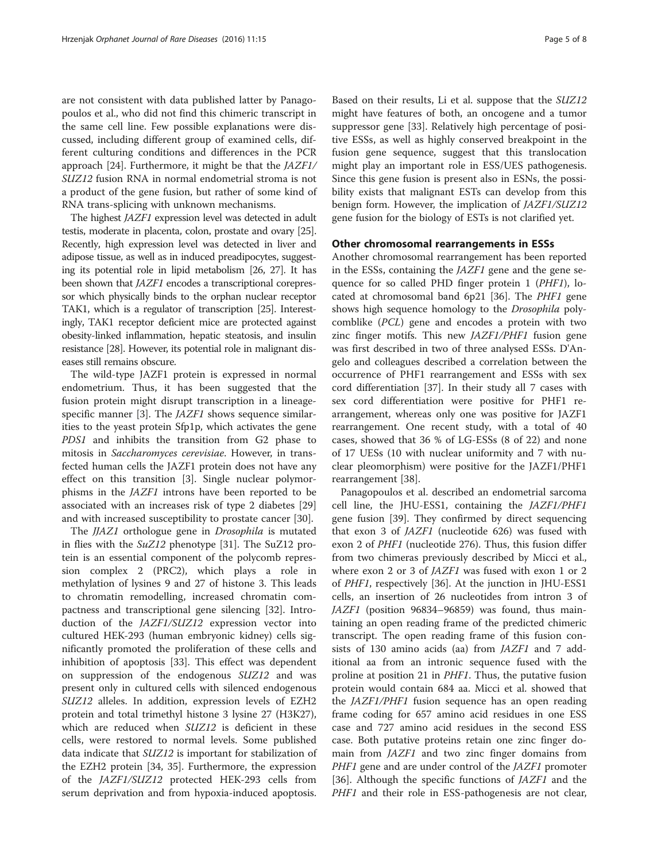are not consistent with data published latter by Panagopoulos et al., who did not find this chimeric transcript in the same cell line. Few possible explanations were discussed, including different group of examined cells, different culturing conditions and differences in the PCR approach [[24\]](#page-6-0). Furthermore, it might be that the JAZF1/ SUZ12 fusion RNA in normal endometrial stroma is not a product of the gene fusion, but rather of some kind of RNA trans-splicing with unknown mechanisms.

The highest JAZF1 expression level was detected in adult testis, moderate in placenta, colon, prostate and ovary [\[25](#page-6-0)]. Recently, high expression level was detected in liver and adipose tissue, as well as in induced preadipocytes, suggesting its potential role in lipid metabolism [\[26](#page-6-0), [27](#page-6-0)]. It has been shown that JAZF1 encodes a transcriptional corepressor which physically binds to the orphan nuclear receptor TAK1, which is a regulator of transcription [\[25\]](#page-6-0). Interestingly, TAK1 receptor deficient mice are protected against obesity-linked inflammation, hepatic steatosis, and insulin resistance [[28\]](#page-6-0). However, its potential role in malignant diseases still remains obscure.

The wild-type JAZF1 protein is expressed in normal endometrium. Thus, it has been suggested that the fusion protein might disrupt transcription in a lineage-specific manner [\[3](#page-6-0)]. The *JAZF1* shows sequence similarities to the yeast protein Sfp1p, which activates the gene PDS1 and inhibits the transition from G2 phase to mitosis in Saccharomyces cerevisiae. However, in transfected human cells the JAZF1 protein does not have any effect on this transition [\[3](#page-6-0)]. Single nuclear polymorphisms in the JAZF1 introns have been reported to be associated with an increases risk of type 2 diabetes [[29](#page-6-0)] and with increased susceptibility to prostate cancer [[30\]](#page-6-0).

The *JJAZ1* orthologue gene in *Drosophila* is mutated in flies with the SuZ12 phenotype [[31\]](#page-6-0). The SuZ12 protein is an essential component of the polycomb repression complex 2 (PRC2), which plays a role in methylation of lysines 9 and 27 of histone 3. This leads to chromatin remodelling, increased chromatin compactness and transcriptional gene silencing [[32](#page-6-0)]. Introduction of the JAZF1/SUZ12 expression vector into cultured HEK-293 (human embryonic kidney) cells significantly promoted the proliferation of these cells and inhibition of apoptosis [\[33](#page-6-0)]. This effect was dependent on suppression of the endogenous SUZ12 and was present only in cultured cells with silenced endogenous SUZ12 alleles. In addition, expression levels of EZH2 protein and total trimethyl histone 3 lysine 27 (H3K27), which are reduced when SUZ12 is deficient in these cells, were restored to normal levels. Some published data indicate that SUZ12 is important for stabilization of the EZH2 protein [[34, 35\]](#page-6-0). Furthermore, the expression of the JAZF1/SUZ12 protected HEK-293 cells from serum deprivation and from hypoxia-induced apoptosis.

Based on their results, Li et al. suppose that the SUZ12 might have features of both, an oncogene and a tumor suppressor gene [\[33](#page-6-0)]. Relatively high percentage of positive ESSs, as well as highly conserved breakpoint in the fusion gene sequence, suggest that this translocation might play an important role in ESS/UES pathogenesis. Since this gene fusion is present also in ESNs, the possibility exists that malignant ESTs can develop from this benign form. However, the implication of JAZF1/SUZ12 gene fusion for the biology of ESTs is not clarified yet.

## Other chromosomal rearrangements in ESSs

Another chromosomal rearrangement has been reported in the ESSs, containing the JAZF1 gene and the gene sequence for so called PHD finger protein 1 (PHF1), located at chromosomal band 6p21 [\[36](#page-6-0)]. The PHF1 gene shows high sequence homology to the Drosophila polycomblike (PCL) gene and encodes a protein with two zinc finger motifs. This new JAZF1/PHF1 fusion gene was first described in two of three analysed ESSs. D'Angelo and colleagues described a correlation between the occurrence of PHF1 rearrangement and ESSs with sex cord differentiation [\[37\]](#page-6-0). In their study all 7 cases with sex cord differentiation were positive for PHF1 rearrangement, whereas only one was positive for JAZF1 rearrangement. One recent study, with a total of 40 cases, showed that 36 % of LG-ESSs (8 of 22) and none of 17 UESs (10 with nuclear uniformity and 7 with nuclear pleomorphism) were positive for the JAZF1/PHF1 rearrangement [[38\]](#page-6-0).

Panagopoulos et al. described an endometrial sarcoma cell line, the JHU-ESS1, containing the JAZF1/PHF1 gene fusion [[39](#page-6-0)]. They confirmed by direct sequencing that exon 3 of JAZF1 (nucleotide 626) was fused with exon 2 of PHF1 (nucleotide 276). Thus, this fusion differ from two chimeras previously described by Micci et al., where exon 2 or 3 of JAZF1 was fused with exon 1 or 2 of PHF1, respectively [\[36\]](#page-6-0). At the junction in JHU-ESS1 cells, an insertion of 26 nucleotides from intron 3 of JAZF1 (position 96834–96859) was found, thus maintaining an open reading frame of the predicted chimeric transcript. The open reading frame of this fusion consists of 130 amino acids (aa) from JAZF1 and 7 additional aa from an intronic sequence fused with the proline at position 21 in PHF1. Thus, the putative fusion protein would contain 684 aa. Micci et al. showed that the JAZF1/PHF1 fusion sequence has an open reading frame coding for 657 amino acid residues in one ESS case and 727 amino acid residues in the second ESS case. Both putative proteins retain one zinc finger domain from JAZF1 and two zinc finger domains from PHF1 gene and are under control of the *JAZF1* promoter [[36\]](#page-6-0). Although the specific functions of JAZF1 and the PHF1 and their role in ESS-pathogenesis are not clear,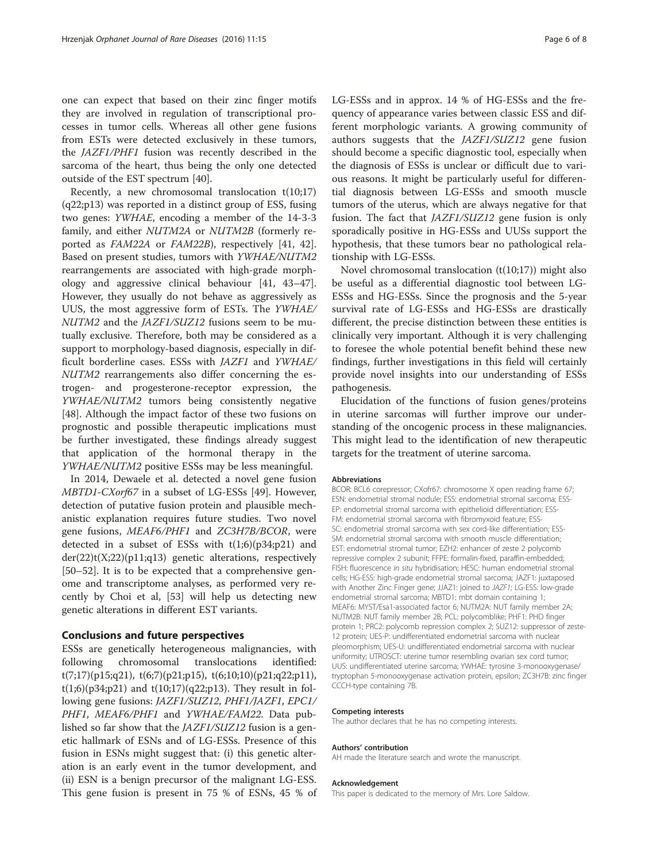one can expect that based on their zinc finger motifs they are involved in regulation of transcriptional processes in tumor cells. Whereas all other gene fusions from ESTs were detected exclusively in these tumors, the JAZF1/PHF1 fusion was recently described in the sarcoma of the heart, thus being the only one detected outside of the EST spectrum [[40\]](#page-6-0).

Recently, a new chromosomal translocation t(10;17) (q22;p13) was reported in a distinct group of ESS, fusing two genes: YWHAE, encoding a member of the 14-3-3 family, and either NUTM2A or NUTM2B (formerly reported as FAM22A or FAM22B), respectively [[41](#page-6-0), [42](#page-6-0)]. Based on present studies, tumors with YWHAE/NUTM2 rearrangements are associated with high-grade morphology and aggressive clinical behaviour [[41, 43](#page-6-0)–[47](#page-7-0)]. However, they usually do not behave as aggressively as UUS, the most aggressive form of ESTs. The YWHAE/ NUTM2 and the JAZF1/SUZ12 fusions seem to be mutually exclusive. Therefore, both may be considered as a support to morphology-based diagnosis, especially in difficult borderline cases. ESSs with JAZF1 and YWHAE/ NUTM2 rearrangements also differ concerning the estrogen- and progesterone-receptor expression, the YWHAE/NUTM2 tumors being consistently negative [[48\]](#page-7-0). Although the impact factor of these two fusions on prognostic and possible therapeutic implications must be further investigated, these findings already suggest that application of the hormonal therapy in the YWHAE/NUTM2 positive ESSs may be less meaningful.

In 2014, Dewaele et al. detected a novel gene fusion MBTD1-CXorf67 in a subset of LG-ESSs [[49](#page-7-0)]. However, detection of putative fusion protein and plausible mechanistic explanation requires future studies. Two novel gene fusions, MEAF6/PHF1 and ZC3H7B/BCOR, were detected in a subset of ESSs with  $t(1;6)(p34;p21)$  and der(22)t(X;22)(p11;q13) genetic alterations, respectively [[50](#page-7-0)–[52](#page-7-0)]. It is to be expected that a comprehensive genome and transcriptome analyses, as performed very recently by Choi et al, [\[53\]](#page-7-0) will help us detecting new genetic alterations in different EST variants.

#### Conclusions and future perspectives

ESSs are genetically heterogeneous malignancies, with following chromosomal translocations identified: t(7;17)(p15;q21), t(6;7)(p21;p15), t(6;10;10)(p21;q22;p11),  $t(1;6)(p34;p21)$  and  $t(10;17)(q22;p13)$ . They result in following gene fusions: JAZF1/SUZ12, PHF1/JAZF1, EPC1/ PHF1, MEAF6/PHF1 and YWHAE/FAM22. Data published so far show that the JAZF1/SUZ12 fusion is a genetic hallmark of ESNs and of LG-ESSs. Presence of this fusion in ESNs might suggest that: (i) this genetic alteration is an early event in the tumor development, and (ii) ESN is a benign precursor of the malignant LG-ESS. This gene fusion is present in 75 % of ESNs, 45 % of LG-ESSs and in approx. 14 % of HG-ESSs and the frequency of appearance varies between classic ESS and different morphologic variants. A growing community of authors suggests that the JAZF1/SUZ12 gene fusion should become a specific diagnostic tool, especially when the diagnosis of ESSs is unclear or difficult due to various reasons. It might be particularly useful for differential diagnosis between LG-ESSs and smooth muscle tumors of the uterus, which are always negative for that fusion. The fact that *JAZF1/SUZ12* gene fusion is only sporadically positive in HG-ESSs and UUSs support the hypothesis, that these tumors bear no pathological relationship with LG-ESSs.

Novel chromosomal translocation  $(t(10;17))$  might also be useful as a differential diagnostic tool between LG-ESSs and HG-ESSs. Since the prognosis and the 5-year survival rate of LG-ESSs and HG-ESSs are drastically different, the precise distinction between these entities is clinically very important. Although it is very challenging to foresee the whole potential benefit behind these new findings, further investigations in this field will certainly provide novel insights into our understanding of ESSs pathogenesis.

Elucidation of the functions of fusion genes/proteins in uterine sarcomas will further improve our understanding of the oncogenic process in these malignancies. This might lead to the identification of new therapeutic targets for the treatment of uterine sarcoma.

#### Abbreviations

BCOR: BCL6 corepressor; CXofr67: chromosome X open reading frame 67; ESN: endometrial stromal nodule; ESS: endometrial stromal sarcoma; ESS-EP: endometrial stromal sarcoma with epithelioid differentiation; ESS-FM: endometrial stromal sarcoma with fibromyxoid feature; ESS-SC: endometrial stromal sarcoma with sex cord-like differentiation; ESS-SM: endometrial stromal sarcoma with smooth muscle differentiation; EST: endometrial stromal tumor; EZH2: enhancer of zeste 2 polycomb repressive complex 2 subunit; FFPE: formalin-fixed, paraffin-embedded; FISH: fluorescence in situ hybridisation; HESC: human endometrial stromal cells; HG-ESS: high-grade endometrial stromal sarcoma; JAZF1: juxtaposed with Another Zinc Finger gene; JJAZ1: joined to JAZF1; LG-ESS: low-grade endometrial stromal sarcoma; MBTD1: mbt domain containing 1; MEAF6: MYST/Esa1-associated factor 6; NUTM2A: NUT family member 2A; NUTM2B: NUT family member 2B; PCL: polycomblike; PHF1: PHD finger protein 1; PRC2: polycomb repression complex 2; SUZ12: suppressor of zeste-12 protein; UES-P: undifferentiated endometrial sarcoma with nuclear pleomorphism; UES-U: undifferentiated endometrial sarcoma with nuclear uniformity; UTROSCT: uterine tumor resembling ovarian sex cord tumor; UUS: undifferentiated uterine sarcoma; YWHAE: tyrosine 3-monooxygenase/ tryptophan 5-monooxygenase activation protein, epsilon; ZC3H7B: zinc finger CCCH-type containing 7B.

#### Competing interests

The author declares that he has no competing interests.

#### Authors' contribution

AH made the literature search and wrote the manuscript.

#### Acknowledgement

This paper is dedicated to the memory of Mrs. Lore Saldow.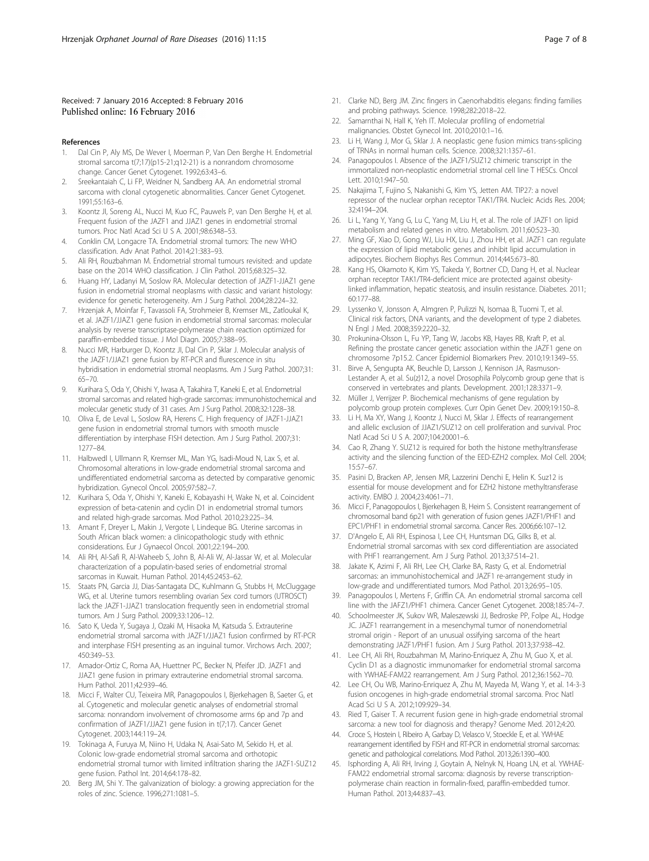#### <span id="page-6-0"></span>Received: 7 January 2016 Accepted: 8 February 2016 Published online: 16 February 2016

#### References

- 1. Dal Cin P, Aly MS, De Wever I, Moerman P, Van Den Berghe H. Endometrial stromal sarcoma t(7;17)(p15-21;q12-21) is a nonrandom chromosome change. Cancer Genet Cytogenet. 1992;63:43–6.
- 2. Sreekantaiah C, Li FP, Weidner N, Sandberg AA. An endometrial stromal sarcoma with clonal cytogenetic abnormalities. Cancer Genet Cytogenet. 1991;55:163–6.
- Koontz JI, Soreng AL, Nucci M, Kuo FC, Pauwels P, van Den Berghe H, et al. Frequent fusion of the JAZF1 and JJAZ1 genes in endometrial stromal tumors. Proc Natl Acad Sci U S A. 2001;98:6348–53.
- 4. Conklin CM, Longacre TA. Endometrial stromal tumors: The new WHO classification. Adv Anat Pathol. 2014;21:383–93.
- 5. Ali RH, Rouzbahman M. Endometrial stromal tumours revisited: and update base on the 2014 WHO classification. J Clin Pathol. 2015;68:325–32.
- 6. Huang HY, Ladanyi M, Soslow RA. Molecular detection of JAZF1-JJAZ1 gene fusion in endometrial stromal neoplasms with classic and variant histology: evidence for genetic heterogeneity. Am J Surg Pathol. 2004;28:224–32.
- 7. Hrzenjak A, Moinfar F, Tavassoli FA, Strohmeier B, Kremser ML, Zatloukal K, et al. JAZF1/JJAZ1 gene fusion in endometrial stromal sarcomas: molecular analysis by reverse transcriptase-polymerase chain reaction optimized for paraffin-embedded tissue. J Mol Diagn. 2005;7:388–95.
- 8. Nucci MR, Harburger D, Koontz JI, Dal Cin P, Sklar J. Molecular analysis of the JAZF1/JJAZ1 gene fusion by RT-PCR and flurescence in situ hybridisation in endometrial stromal neoplasms. Am J Surg Pathol. 2007;31: 65–70.
- 9. Kurihara S, Oda Y, Ohishi Y, Iwasa A, Takahira T, Kaneki E, et al. Endometrial stromal sarcomas and related high-grade sarcomas: immunohistochemical and molecular genetic study of 31 cases. Am J Surg Pathol. 2008;32:1228–38.
- 10. Oliva E, de Leval L, Soslow RA, Herens C. High frequency of JAZF1-JJAZ1 gene fusion in endometrial stromal tumors with smooth muscle differentiation by interphase FISH detection. Am J Surg Pathol. 2007;31: 1277–84.
- 11. Halbwedl I, Ullmann R, Kremser ML, Man YG, Isadi-Moud N, Lax S, et al. Chromosomal alterations in low-grade endometrial stromal sarcoma and undifferentiated endometrial sarcoma as detected by comparative genomic hybridization. Gynecol Oncol. 2005;97:582–7.
- 12. Kurihara S, Oda Y, Ohishi Y, Kaneki E, Kobayashi H, Wake N, et al. Coincident expression of beta-catenin and cyclin D1 in endometrial stromal tumors and related high-grade sarcomas. Mod Pathol. 2010;23:225–34.
- 13. Amant F, Dreyer L, Makin J, Vergote I, Lindeque BG. Uterine sarcomas in South African black women: a clinicopathologic study with ethnic considerations. Eur J Gynaecol Oncol. 2001;22:194–200.
- 14. Ali RH, Al-Safi R, Al-Waheeb S, John B, Al-Ali W, Al-Jassar W, et al. Molecular characterization of a populatin-based series of endometrial stromal sarcomas in Kuwait. Human Pathol. 2014;45:2453–62.
- 15. Staats PN, Garcia JJ, Dias-Santagata DC, Kuhlmann G, Stubbs H, McCluggage WG, et al. Uterine tumors resembling ovarian Sex cord tumors (UTROSCT) lack the JAZF1-JJAZ1 translocation frequently seen in endometrial stromal tumors. Am J Surg Pathol. 2009;33:1206–12.
- 16. Sato K, Ueda Y, Sugaya J, Ozaki M, Hisaoka M, Katsuda S. Extrauterine endometrial stromal sarcoma with JAZF1/JJAZ1 fusion confirmed by RT-PCR and interphase FISH presenting as an inguinal tumor. Virchows Arch. 2007; 450:349–53.
- 17. Amador-Ortiz C, Roma AA, Huettner PC, Becker N, Pfeifer JD. JAZF1 and JJAZ1 gene fusion in primary extrauterine endometrial stromal sarcoma. Hum Pathol. 2011;42:939–46.
- 18. Micci F, Walter CU, Teixeira MR, Panagopoulos I, Bjerkehagen B, Saeter G, et al. Cytogenetic and molecular genetic analyses of endometrial stromal sarcoma: nonrandom involvement of chromosome arms 6p and 7p and confirmation of JAZF1/JJAZ1 gene fusion in t(7;17). Cancer Genet Cytogenet. 2003;144:119–24.
- 19. Tokinaga A, Furuya M, Niino H, Udaka N, Asai-Sato M, Sekido H, et al. Colonic low-grade endometrial stromal sarcoma and orthotopic endometrial stromal tumor with limited infiltration sharing the JAZF1-SUZ12 gene fusion. Pathol Int. 2014;64:178–82.
- 20. Berg JM, Shi Y. The galvanization of biology: a growing appreciation for the roles of zinc. Science. 1996;271:1081–5.
- 21. Clarke ND, Berg JM. Zinc fingers in Caenorhabditis elegans: finding families and probing pathways. Science. 1998;282:2018–22.
- 22. Samarnthai N, Hall K, Yeh IT, Molecular profiling of endometrial malignancies. Obstet Gynecol Int. 2010;2010:1–16.
- 23. Li H, Wang J, Mor G, Sklar J. A neoplastic gene fusion mimics trans-splicing of TRNAs in normal human cells. Science. 2008;321:1357–61.
- 24. Panagopoulos I. Absence of the JAZF1/SUZ12 chimeric transcript in the immortalized non-neoplastic endometrial stromal cell line T HESCs. Oncol Lett. 2010;1:947–50.
- 25. Nakajima T, Fujino S, Nakanishi G, Kim YS, Jetten AM. TIP27: a novel repressor of the nuclear orphan receptor TAK1/TR4. Nucleic Acids Res. 2004; 32:4194–204.
- 26. Li L, Yang Y, Yang G, Lu C, Yang M, Liu H, et al. The role of JAZF1 on lipid metabolism and related genes in vitro. Metabolism. 2011;60:523–30.
- 27. Ming GF, Xiao D, Gong WJ, Liu HX, Liu J, Zhou HH, et al. JAZF1 can regulate the expression of lipid metabolic genes and inhibit lipid accumulation in adipocytes. Biochem Biophys Res Commun. 2014;445:673–80.
- 28. Kang HS, Okamoto K, Kim YS, Takeda Y, Bortner CD, Dang H, et al. Nuclear orphan receptor TAK1/TR4-deficient mice are protected against obesitylinked inflammation, hepatic steatosis, and insulin resistance. Diabetes. 2011; 60:177–88.
- 29. Lyssenko V, Jonsson A, Almgren P, Pulizzi N, Isomaa B, Tuomi T, et al. Clinical risk factors, DNA variants, and the development of type 2 diabetes. N Engl J Med. 2008;359:2220–32.
- Prokunina-Olsson L, Fu YP, Tang W, Jacobs KB, Hayes RB, Kraft P, et al. Refining the prostate cancer genetic association within the JAZF1 gene on chromosome 7p15.2. Cancer Epidemiol Biomarkers Prev. 2010;19:1349–55.
- 31. Birve A, Sengupta AK, Beuchle D, Larsson J, Kennison JA, Rasmuson-Lestander A, et al. Su(z)12, a novel Drosophila Polycomb group gene that is conserved in vertebrates and plants. Development. 2001;128:3371–9.
- 32. Müller J, Verrijzer P. Biochemical mechanisms of gene regulation by polycomb group protein complexes. Curr Opin Genet Dev. 2009;19:150–8.
- 33. Li H, Ma XY, Wang J, Koontz J, Nucci M, Sklar J. Effects of rearrangement and allelic exclusion of JJAZ1/SUZ12 on cell proliferation and survival. Proc Natl Acad Sci U S A. 2007;104:20001–6.
- 34. Cao R, Zhang Y. SUZ12 is required for both the histone methyltransferase activity and the silencing function of the EED-EZH2 complex. Mol Cell. 2004; 15:57–67.
- 35. Pasini D, Bracken AP, Jensen MR, Lazzerini Denchi E, Helin K. Suz12 is essential for mouse development and for EZH2 histone methyltransferase activity. EMBO J. 2004;23:4061–71.
- 36. Micci F, Panagopoulos I, Bjerkehagen B, Heim S. Consistent rearrangement of chromosomal band 6p21 with generation of fusion genes JAZF1/PHF1 and EPC1/PHF1 in endometrial stromal sarcoma. Cancer Res. 2006;66:107–12.
- 37. D'Angelo E, Ali RH, Espinosa I, Lee CH, Huntsman DG, Gilks B, et al. Endometrial stromal sarcomas with sex cord differentiation are associated with PHF1 rearrangement. Am J Surg Pathol. 2013;37:514–21.
- 38. Jakate K, Azimi F, Ali RH, Lee CH, Clarke BA, Rasty G, et al. Endometrial sarcomas: an immunohistochemical and JAZF1 re-arrangement study in low-grade and undifferentiated tumors. Mod Pathol. 2013;26:95–105.
- 39. Panagopoulos I, Mertens F, Griffin CA. An endometrial stromal sarcoma cell line with the JAFZ1/PHF1 chimera. Cancer Genet Cytogenet. 2008;185:74–7.
- 40. Schoolmeester JK, Sukov WR, Maleszewski JJ, Bedroske PP, Folpe AL, Hodge JC. JAZF1 rearrangement in a mesenchymal tumor of nonendometrial stromal origin - Report of an unusual ossifying sarcoma of the heart demonstrating JAZF1/PHF1 fusion. Am J Surg Pathol. 2013;37:938–42.
- 41. Lee CH, Ali RH, Rouzbahman M, Marino-Enriquez A, Zhu M, Guo X, et al. Cyclin D1 as a diagnostic immunomarker for endometrial stromal sarcoma with YWHAE-FAM22 rearrangement. Am J Surg Pathol. 2012;36:1562–70.
- 42. Lee CH, Ou WB, Marino-Enriquez A, Zhu M, Mayeda M, Wang Y, et al. 14-3-3 fusion oncogenes in high-grade endometrial stromal sarcoma. Proc Natl Acad Sci U S A. 2012;109:929–34.
- 43. Ried T, Gaiser T. A recurrent fusion gene in high-grade endometrial stromal sarcoma: a new tool for diagnosis and therapy? Genome Med. 2012;4:20.
- 44. Croce S, Hostein I, Ribeiro A, Garbay D, Velasco V, Stoeckle E, et al. YWHAE rearrangement identified by FISH and RT-PCR in endometrial stromal sarcomas: genetic and pathological correlations. Mod Pathol. 2013;26:1390–400.
- 45. Isphording A, Ali RH, Irving J, Goytain A, Nelnyk N, Hoang LN, et al. YWHAE-FAM22 endometrial stromal sarcoma: diagnosis by reverse transcriptionpolymerase chain reaction in formalin-fixed, paraffin-embedded tumor. Human Pathol. 2013;44:837–43.